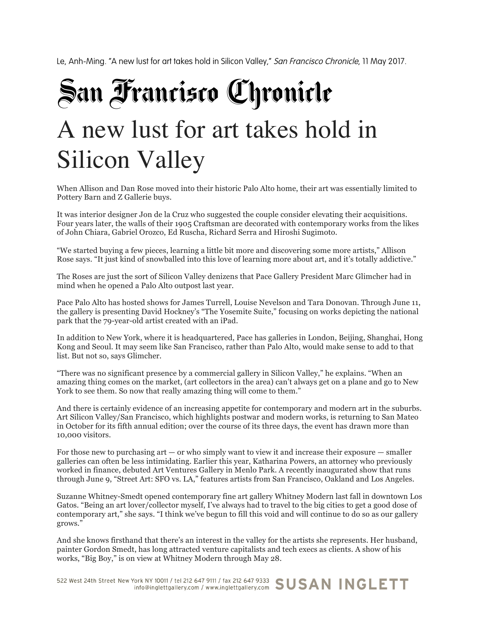Le, Anh-Ming. "A new lust for art takes hold in Silicon Valley," San Francisco Chronicle, 11 May 2017.

## San Francisco Chronicle A new lust for art takes hold in Silicon Valley

When Allison and Dan Rose moved into their historic Palo Alto home, their art was essentially limited to Pottery Barn and Z Gallerie buys.

It was interior designer Jon de la Cruz who suggested the couple consider elevating their acquisitions. Four years later, the walls of their 1905 Craftsman are decorated with contemporary works from the likes of John Chiara, Gabriel Orozco, Ed Ruscha, Richard Serra and Hiroshi Sugimoto.

"We started buying a few pieces, learning a little bit more and discovering some more artists," Allison Rose says. "It just kind of snowballed into this love of learning more about art, and it's totally addictive."

The Roses are just the sort of Silicon Valley denizens that Pace Gallery President Marc Glimcher had in mind when he opened a Palo Alto outpost last year.

Pace Palo Alto has hosted shows for James Turrell, Louise Nevelson and Tara Donovan. Through June 11, the gallery is presenting David Hockney's "The Yosemite Suite," focusing on works depicting the national park that the 79-year-old artist created with an iPad.

In addition to New York, where it is headquartered, Pace has galleries in London, Beijing, Shanghai, Hong Kong and Seoul. It may seem like San Francisco, rather than Palo Alto, would make sense to add to that list. But not so, says Glimcher.

"There was no significant presence by a commercial gallery in Silicon Valley," he explains. "When an amazing thing comes on the market, (art collectors in the area) can't always get on a plane and go to New York to see them. So now that really amazing thing will come to them."

And there is certainly evidence of an increasing appetite for contemporary and modern art in the suburbs. Art Silicon Valley/San Francisco, which highlights postwar and modern works, is returning to San Mateo in October for its fifth annual edition; over the course of its three days, the event has drawn more than 10,000 visitors.

For those new to purchasing art — or who simply want to view it and increase their exposure — smaller galleries can often be less intimidating. Earlier this year, Katharina Powers, an attorney who previously worked in finance, debuted Art Ventures Gallery in Menlo Park. A recently inaugurated show that runs through June 9, "Street Art: SFO vs. LA," features artists from San Francisco, Oakland and Los Angeles.

Suzanne Whitney-Smedt opened contemporary fine art gallery Whitney Modern last fall in downtown Los Gatos. "Being an art lover/collector myself, I've always had to travel to the big cities to get a good dose of contemporary art," she says. "I think we've begun to fill this void and will continue to do so as our gallery grows."

And she knows firsthand that there's an interest in the valley for the artists she represents. Her husband, painter Gordon Smedt, has long attracted venture capitalists and tech execs as clients. A show of his works, "Big Boy," is on view at Whitney Modern through May 28.